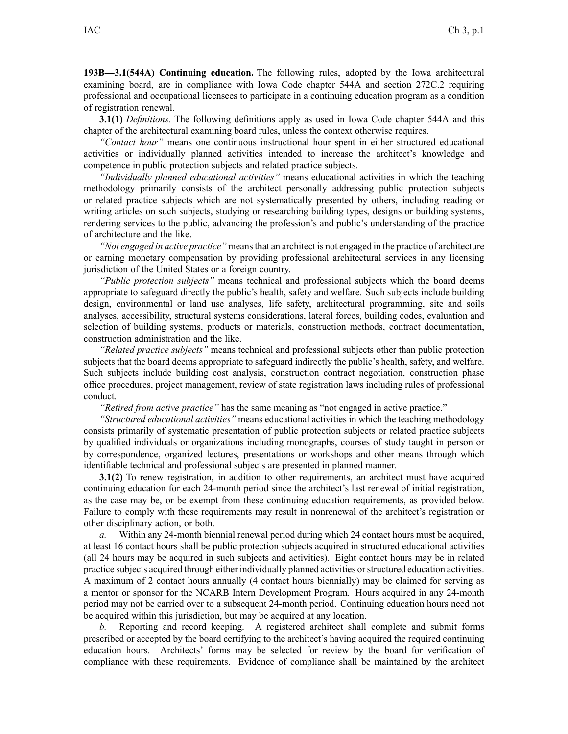**193B—3.1(544A) Continuing education.** The following rules, adopted by the Iowa architectural examining board, are in compliance with Iowa Code chapter 544A and section 272C.2 requiring professional and occupational licensees to participate in <sup>a</sup> continuing education program as <sup>a</sup> condition of registration renewal.

**3.1(1)** *Definitions.* The following definitions apply as used in Iowa Code chapter 544A and this chapter of the architectural examining board rules, unless the context otherwise requires.

*"Contact hour"* means one continuous instructional hour spen<sup>t</sup> in either structured educational activities or individually planned activities intended to increase the architect's knowledge and competence in public protection subjects and related practice subjects.

*"Individually planned educational activities"* means educational activities in which the teaching methodology primarily consists of the architect personally addressing public protection subjects or related practice subjects which are not systematically presented by others, including reading or writing articles on such subjects, studying or researching building types, designs or building systems, rendering services to the public, advancing the profession's and public's understanding of the practice of architecture and the like.

*"Not engaged in active practice"* meansthat an architect is not engaged in the practice of architecture or earning monetary compensation by providing professional architectural services in any licensing jurisdiction of the United States or <sup>a</sup> foreign country.

*"Public protection subjects"* means technical and professional subjects which the board deems appropriate to safeguard directly the public's health, safety and welfare. Such subjects include building design, environmental or land use analyses, life safety, architectural programming, site and soils analyses, accessibility, structural systems considerations, lateral forces, building codes, evaluation and selection of building systems, products or materials, construction methods, contract documentation, construction administration and the like.

*"Related practice subjects"* means technical and professional subjects other than public protection subjects that the board deems appropriate to safeguard indirectly the public's health, safety, and welfare. Such subjects include building cost analysis, construction contract negotiation, construction phase office procedures, project management, review of state registration laws including rules of professional conduct.

*"Retired from active practice"* has the same meaning as "not engaged in active practice."

*"Structured educational activities"* means educational activities in which the teaching methodology consists primarily of systematic presentation of public protection subjects or related practice subjects by qualified individuals or organizations including monographs, courses of study taught in person or by correspondence, organized lectures, presentations or workshops and other means through which identifiable technical and professional subjects are presented in planned manner.

**3.1(2)** To renew registration, in addition to other requirements, an architect must have acquired continuing education for each 24-month period since the architect's last renewal of initial registration, as the case may be, or be exemp<sup>t</sup> from these continuing education requirements, as provided below. Failure to comply with these requirements may result in nonrenewal of the architect's registration or other disciplinary action, or both.

*a.* Within any 24-month biennial renewal period during which 24 contact hours must be acquired, at least 16 contact hours shall be public protection subjects acquired in structured educational activities (all 24 hours may be acquired in such subjects and activities). Eight contact hours may be in related practice subjects acquired through either individually planned activities orstructured education activities. A maximum of 2 contact hours annually (4 contact hours biennially) may be claimed for serving as <sup>a</sup> mentor or sponsor for the NCARB Intern Development Program. Hours acquired in any 24-month period may not be carried over to <sup>a</sup> subsequent 24-month period. Continuing education hours need not be acquired within this jurisdiction, but may be acquired at any location.

*b.* Reporting and record keeping. A registered architect shall complete and submit forms prescribed or accepted by the board certifying to the architect's having acquired the required continuing education hours. Architects' forms may be selected for review by the board for verification of compliance with these requirements. Evidence of compliance shall be maintained by the architect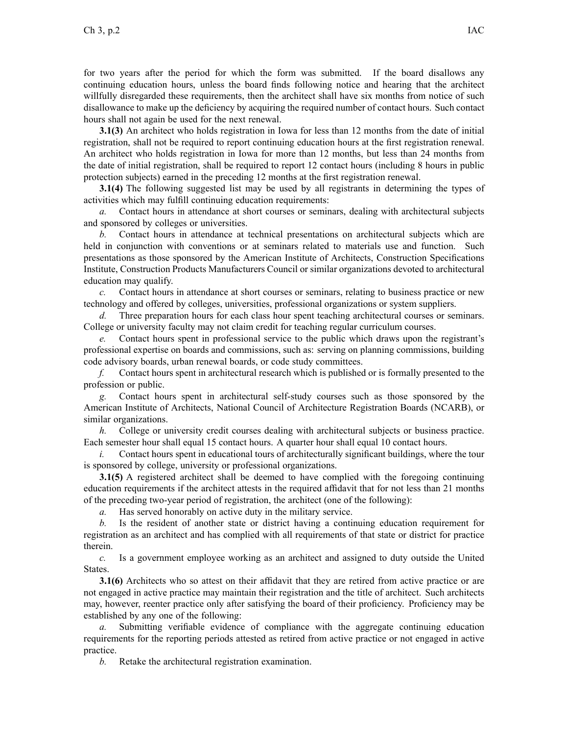for two years after the period for which the form was submitted. If the board disallows any continuing education hours, unless the board finds following notice and hearing that the architect willfully disregarded these requirements, then the architect shall have six months from notice of such disallowance to make up the deficiency by acquiring the required number of contact hours. Such contact hours shall not again be used for the next renewal.

**3.1(3)** An architect who holds registration in Iowa for less than 12 months from the date of initial registration, shall not be required to repor<sup>t</sup> continuing education hours at the first registration renewal. An architect who holds registration in Iowa for more than 12 months, but less than 24 months from the date of initial registration, shall be required to repor<sup>t</sup> 12 contact hours (including 8 hours in public protection subjects) earned in the preceding 12 months at the first registration renewal.

**3.1(4)** The following suggested list may be used by all registrants in determining the types of activities which may fulfill continuing education requirements:

*a.* Contact hours in attendance at short courses or seminars, dealing with architectural subjects and sponsored by colleges or universities.

*b.* Contact hours in attendance at technical presentations on architectural subjects which are held in conjunction with conventions or at seminars related to materials use and function. Such presentations as those sponsored by the American Institute of Architects, Construction Specifications Institute, Construction Products Manufacturers Council or similar organizations devoted to architectural education may qualify.

*c.* Contact hours in attendance at short courses or seminars, relating to business practice or new technology and offered by colleges, universities, professional organizations or system suppliers.

*d.* Three preparation hours for each class hour spen<sup>t</sup> teaching architectural courses or seminars. College or university faculty may not claim credit for teaching regular curriculum courses.

*e.* Contact hours spen<sup>t</sup> in professional service to the public which draws upon the registrant's professional expertise on boards and commissions, such as: serving on planning commissions, building code advisory boards, urban renewal boards, or code study committees.

*f.* Contact hours spen<sup>t</sup> in architectural research which is published or is formally presented to the profession or public.

*g.* Contact hours spen<sup>t</sup> in architectural self-study courses such as those sponsored by the American Institute of Architects, National Council of Architecture Registration Boards (NCARB), or similar organizations.

*h.* College or university credit courses dealing with architectural subjects or business practice. Each semester hour shall equal 15 contact hours. A quarter hour shall equal 10 contact hours.

*i.* Contact hours spent in educational tours of architecturally significant buildings, where the tour is sponsored by college, university or professional organizations.

**3.1(5)** A registered architect shall be deemed to have complied with the foregoing continuing education requirements if the architect attests in the required affidavit that for not less than 21 months of the preceding two-year period of registration, the architect (one of the following):

*a.* Has served honorably on active duty in the military service.

*b.* Is the resident of another state or district having <sup>a</sup> continuing education requirement for registration as an architect and has complied with all requirements of that state or district for practice therein.

*c.* Is <sup>a</sup> governmen<sup>t</sup> employee working as an architect and assigned to duty outside the United States.

**3.1(6)** Architects who so attest on their affidavit that they are retired from active practice or are not engaged in active practice may maintain their registration and the title of architect. Such architects may, however, reenter practice only after satisfying the board of their proficiency. Proficiency may be established by any one of the following:

*a.* Submitting verifiable evidence of compliance with the aggregate continuing education requirements for the reporting periods attested as retired from active practice or not engaged in active practice.

*b.* Retake the architectural registration examination.